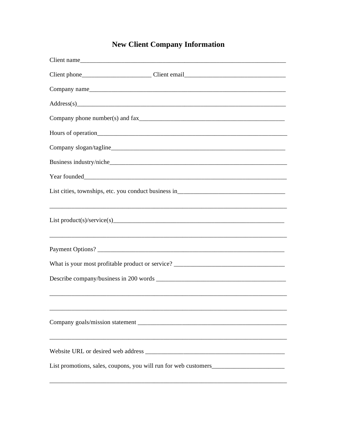# **New Client Company Information**

| Client name                                                                       |
|-----------------------------------------------------------------------------------|
|                                                                                   |
|                                                                                   |
|                                                                                   |
|                                                                                   |
|                                                                                   |
|                                                                                   |
|                                                                                   |
|                                                                                   |
|                                                                                   |
|                                                                                   |
|                                                                                   |
| What is your most profitable product or service? ________________________________ |
|                                                                                   |
|                                                                                   |
|                                                                                   |
|                                                                                   |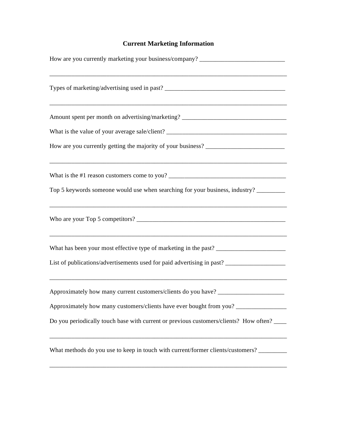# **Current Marketing Information**

| How are you currently marketing your business/company? __________________________                   |
|-----------------------------------------------------------------------------------------------------|
|                                                                                                     |
|                                                                                                     |
|                                                                                                     |
|                                                                                                     |
|                                                                                                     |
| Top 5 keywords someone would use when searching for your business, industry?                        |
|                                                                                                     |
|                                                                                                     |
| List of publications/advertisements used for paid advertising in past? ____________________________ |
| Approximately how many current customers/clients do you have? ___________________                   |
| Approximately how many customers/clients have ever bought from you? _____________                   |
| Do you periodically touch base with current or previous customers/clients? How often?               |
| What methods do you use to keep in touch with current/former clients/customers? ________            |
|                                                                                                     |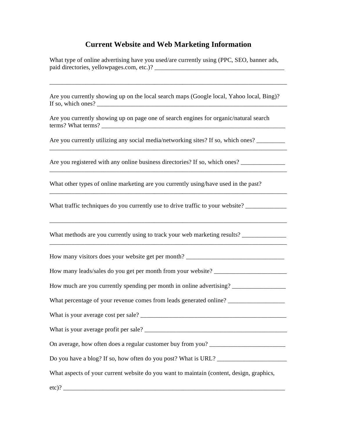## **Current Website and Web Marketing Information**

What type of online advertising have you used/are currently using (PPC, SEO, banner ads, paid directories, yellowpages.com, etc.)? \_\_\_\_\_\_\_\_\_\_\_\_\_\_\_\_\_\_\_\_\_\_\_\_\_\_\_\_\_\_\_\_\_\_\_\_\_\_\_\_\_

Are you currently showing up on the local search maps (Google local, Yahoo local, Bing)? If so, which ones?

\_\_\_\_\_\_\_\_\_\_\_\_\_\_\_\_\_\_\_\_\_\_\_\_\_\_\_\_\_\_\_\_\_\_\_\_\_\_\_\_\_\_\_\_\_\_\_\_\_\_\_\_\_\_\_\_\_\_\_\_\_\_\_\_\_\_\_\_\_\_\_\_\_\_\_

Are you currently showing up on page one of search engines for organic/natural search terms? What terms? \_\_\_\_\_\_\_\_\_\_\_\_\_\_\_\_\_\_\_\_\_\_\_\_\_\_\_\_\_\_\_\_\_\_\_\_\_\_\_\_\_\_\_\_\_\_\_\_\_\_\_\_\_\_\_\_\_\_

Are you currently utilizing any social media/networking sites? If so, which ones?

Are you registered with any online business directories? If so, which ones?

What other types of online marketing are you currently using/have used in the past?

\_\_\_\_\_\_\_\_\_\_\_\_\_\_\_\_\_\_\_\_\_\_\_\_\_\_\_\_\_\_\_\_\_\_\_\_\_\_\_\_\_\_\_\_\_\_\_\_\_\_\_\_\_\_\_\_\_\_\_\_\_\_\_\_\_\_\_\_\_\_\_\_\_\_\_

\_\_\_\_\_\_\_\_\_\_\_\_\_\_\_\_\_\_\_\_\_\_\_\_\_\_\_\_\_\_\_\_\_\_\_\_\_\_\_\_\_\_\_\_\_\_\_\_\_\_\_\_\_\_\_\_\_\_\_\_\_\_\_\_\_\_\_\_\_\_\_\_\_\_\_

\_\_\_\_\_\_\_\_\_\_\_\_\_\_\_\_\_\_\_\_\_\_\_\_\_\_\_\_\_\_\_\_\_\_\_\_\_\_\_\_\_\_\_\_\_\_\_\_\_\_\_\_\_\_\_\_\_\_\_\_\_\_\_\_\_\_\_\_\_\_\_\_\_\_\_

\_\_\_\_\_\_\_\_\_\_\_\_\_\_\_\_\_\_\_\_\_\_\_\_\_\_\_\_\_\_\_\_\_\_\_\_\_\_\_\_\_\_\_\_\_\_\_\_\_\_\_\_\_\_\_\_\_\_\_\_\_\_\_\_\_\_\_\_\_\_\_\_\_\_\_

What traffic techniques do you currently use to drive traffic to your website? \_\_\_\_\_\_\_\_\_\_\_\_\_

What methods are you currently using to track your web marketing results? \_\_\_\_\_\_\_\_\_\_\_\_\_

| How many visitors does your website get per month?                                       |
|------------------------------------------------------------------------------------------|
| How many leads/sales do you get per month from your website? ____________________        |
| How much are you currently spending per month in online advertising? __________________  |
| What percentage of your revenue comes from leads generated online? ______________        |
|                                                                                          |
|                                                                                          |
| On average, how often does a regular customer buy from you? _____________________        |
|                                                                                          |
| What aspects of your current website do you want to maintain (content, design, graphics, |
|                                                                                          |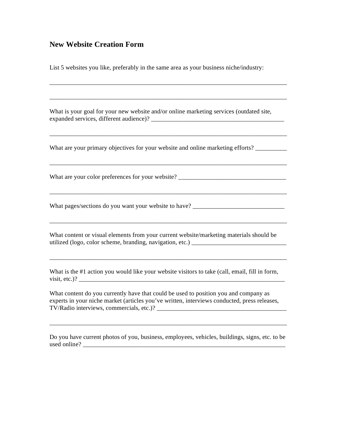#### **New Website Creation Form**

List 5 websites you like, preferably in the same area as your business niche/industry:

What is your goal for your new website and/or online marketing services (outdated site, expanded services, different audience)? \_\_\_\_\_\_\_\_\_\_\_\_\_\_\_\_\_\_\_\_\_\_\_\_\_\_\_\_\_\_\_\_\_\_\_\_\_\_\_\_\_\_

\_\_\_\_\_\_\_\_\_\_\_\_\_\_\_\_\_\_\_\_\_\_\_\_\_\_\_\_\_\_\_\_\_\_\_\_\_\_\_\_\_\_\_\_\_\_\_\_\_\_\_\_\_\_\_\_\_\_\_\_\_\_\_\_\_\_\_\_\_\_\_\_\_\_\_

\_\_\_\_\_\_\_\_\_\_\_\_\_\_\_\_\_\_\_\_\_\_\_\_\_\_\_\_\_\_\_\_\_\_\_\_\_\_\_\_\_\_\_\_\_\_\_\_\_\_\_\_\_\_\_\_\_\_\_\_\_\_\_\_\_\_\_\_\_\_\_\_\_\_\_

\_\_\_\_\_\_\_\_\_\_\_\_\_\_\_\_\_\_\_\_\_\_\_\_\_\_\_\_\_\_\_\_\_\_\_\_\_\_\_\_\_\_\_\_\_\_\_\_\_\_\_\_\_\_\_\_\_\_\_\_\_\_\_\_\_\_\_\_\_\_\_\_\_\_\_

\_\_\_\_\_\_\_\_\_\_\_\_\_\_\_\_\_\_\_\_\_\_\_\_\_\_\_\_\_\_\_\_\_\_\_\_\_\_\_\_\_\_\_\_\_\_\_\_\_\_\_\_\_\_\_\_\_\_\_\_\_\_\_\_\_\_\_\_\_\_\_\_\_\_\_

\_\_\_\_\_\_\_\_\_\_\_\_\_\_\_\_\_\_\_\_\_\_\_\_\_\_\_\_\_\_\_\_\_\_\_\_\_\_\_\_\_\_\_\_\_\_\_\_\_\_\_\_\_\_\_\_\_\_\_\_\_\_\_\_\_\_\_\_\_\_\_\_\_\_\_

\_\_\_\_\_\_\_\_\_\_\_\_\_\_\_\_\_\_\_\_\_\_\_\_\_\_\_\_\_\_\_\_\_\_\_\_\_\_\_\_\_\_\_\_\_\_\_\_\_\_\_\_\_\_\_\_\_\_\_\_\_\_\_\_\_\_\_\_\_\_\_\_\_\_\_

\_\_\_\_\_\_\_\_\_\_\_\_\_\_\_\_\_\_\_\_\_\_\_\_\_\_\_\_\_\_\_\_\_\_\_\_\_\_\_\_\_\_\_\_\_\_\_\_\_\_\_\_\_\_\_\_\_\_\_\_\_\_\_\_\_\_\_\_\_\_\_\_\_\_\_

What are your primary objectives for your website and online marketing efforts?

What are your color preferences for your website?

What pages/sections do you want your website to have? \_\_\_\_\_\_\_\_\_\_\_\_\_\_\_\_\_\_\_\_\_\_\_\_\_\_\_

What content or visual elements from your current website/marketing materials should be utilized (logo, color scheme, branding, navigation, etc.) \_\_\_\_\_\_\_\_\_\_\_\_\_\_\_\_\_\_\_\_\_\_\_\_\_\_\_\_\_\_

What is the #1 action you would like your website visitors to take (call, email, fill in form,  $visit, etc.)?$ 

What content do you currently have that could be used to position you and company as experts in your niche market (articles you've written, interviews conducted, press releases, TV/Radio interviews, commercials, etc.)? \_\_\_\_\_\_\_\_\_\_\_\_\_\_\_\_\_\_\_\_\_\_\_\_\_\_\_\_\_\_\_\_\_\_\_\_\_\_\_\_\_

Do you have current photos of you, business, employees, vehicles, buildings, signs, etc. to be used online? \_\_\_\_\_\_\_\_\_\_\_\_\_\_\_\_\_\_\_\_\_\_\_\_\_\_\_\_\_\_\_\_\_\_\_\_\_\_\_\_\_\_\_\_\_\_\_\_\_\_\_\_\_\_\_\_\_\_\_\_\_\_\_\_

\_\_\_\_\_\_\_\_\_\_\_\_\_\_\_\_\_\_\_\_\_\_\_\_\_\_\_\_\_\_\_\_\_\_\_\_\_\_\_\_\_\_\_\_\_\_\_\_\_\_\_\_\_\_\_\_\_\_\_\_\_\_\_\_\_\_\_\_\_\_\_\_\_\_\_